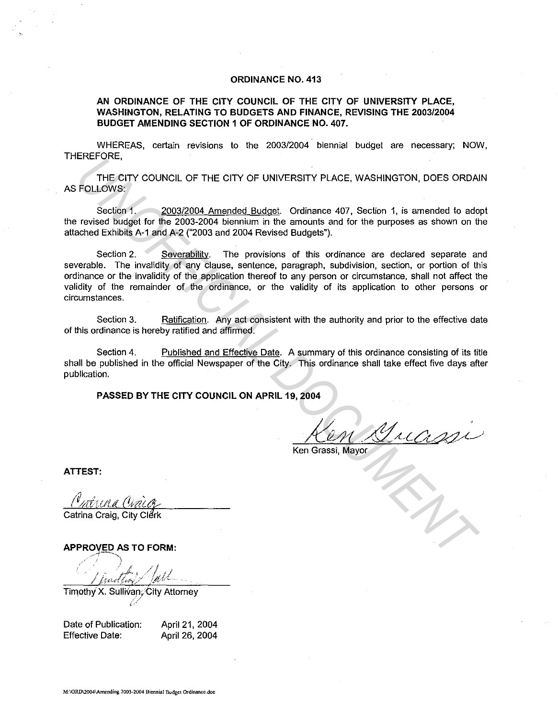#### **ORDINANCE NO. 413**

**AN ORDINANCE OF THE CITY COUNCIL OF THE CITY OF UNIVERSITY PLACE, WASHINGTON, RELATING TO BUDGETS AND FINANCE, REVISING THE 2003/2004 BUDGET AMENDING SECTION 1 OF ORDINANCE NO. 407.** 

WHEREAS, certain revisions to the 2003/2004 biennial budget are necessary; NOW, THEREFORE,

THE CITY COUNCIL OF THE CITY OF UNIVERSITY PLACE, WASHINGTON, DOES ORDAIN AS FOLLOWS:

Section 1. 2003/2004 Amended Budget. Ordinance 407, Section 1, is amended to adopt the revised budget for the 2003-2004 biennium in the amounts and for the purposes as shown on the attached Exhibits A-1 and A-2 ("2003 and 2004 Revised Budgets").

Section 2. Severability. The provisions of this ordinance are declared separate and severable. The invalidity of any clause, sentence, paragraph, subdivision, section, or portion of this ordinance or the invalidity of the application thereof to any person or circumstance, shall not affect the validity of the remainder of the ordinance, or the validity of its application to other persons or circumstances. ENERGY COUNCIL OF THE CITY OF UNIVERSITY PLACE, WASHINGTON, DOES ORDAIN FOLLOWS:<br>
FOLLOWS:<br>
Section 1. <u>2003/2004 Amended Budget</u>, Ordinance 407, Section 1, is amended to added the revised Budget for the 2003-2004 bien-ins

Section 3. Ratification. Any act consistent with the authority and prior to the effective date of this ordinance is hereby ratified and affirmed.

Section 4. Published and Effective Date. A summary of this ordinance consisting of its title shall be published in the official Newspaper of the City. This ordinance shall take effect five days after publication.

**PASSED BY THE CITY COUNCIL ON APRIL 19, 2004** 

*<i>/(i)M* / Julh

**ATTEST:** 

**APPROVED AS TO FORM:** 

-·-! ' \ ... / *1;,,41/;,,,';-* "J~rtl

Timothy X. Sullivan; City Attorney i .

Date of Publication: Effective Date:

April 21, 2004 April 26, 2004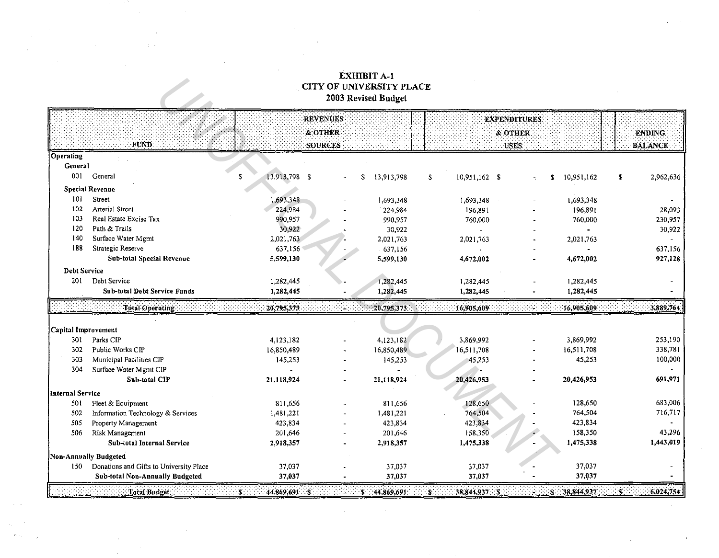# **EXHIBIT A-1<br>CITY OF UNIVERSITY PLACE<br>2003 Revised Budget**

|                     |                                         |                      | <b>REVENUES</b> |                  |                     | <b>EXPENDITURES</b> |      |                  |                 |
|---------------------|-----------------------------------------|----------------------|-----------------|------------------|---------------------|---------------------|------|------------------|-----------------|
|                     |                                         |                      | & OTHER         |                  |                     | & OTHER             |      |                  | <b>ENDING</b>   |
|                     | <b>FUND:</b>                            |                      | <b>SOURCES</b>  |                  |                     | <b>USES:</b>        |      |                  | <b>BALANCE</b>  |
| Operating           |                                         |                      |                 |                  |                     |                     |      |                  |                 |
| General             |                                         |                      |                 |                  |                     |                     |      |                  |                 |
| 001                 | General                                 | S.<br>13,913,798 \$  |                 | \$<br>13,913,798 | 10,951,162 \$<br>5  |                     |      | 10,951,162<br>S. | 2,962,636<br>S  |
|                     | <b>Special Revenue</b>                  |                      |                 |                  |                     |                     |      |                  |                 |
| 101                 | Street                                  | ,693,348             |                 | 1,693,348        | 1,693,348           |                     |      | 1,693,348        |                 |
| 102                 | <b>Arterial Street</b>                  | 224,984              |                 | 224,984          | 196,891             |                     |      | 196,891          | 28,093          |
| 103                 | Real Estate Excise Tax                  | 990,957              |                 | 990,957          | 760,000             |                     |      | 760,000          | 230,957         |
| 120                 | Path & Trails                           | 30,922               |                 | 30,922           |                     |                     |      |                  | 30,922          |
| 140                 | Surface Water Mgmt                      | 2,021,763            |                 | 2,021,763        | 2,021,763           |                     |      | 2,021,763        |                 |
| 188                 | Strategic Reserve                       | 637,156              |                 | 637,156          |                     |                     |      |                  | 637,156         |
|                     | <b>Sub-total Special Revenue</b>        | 5,599,130            |                 | 5,599,130        | 4,672,002           |                     |      | 4,672,002        | 927,128         |
| <b>Debt Service</b> |                                         |                      |                 |                  |                     |                     |      |                  |                 |
| 201                 | Debt Service                            | 1,282,445            |                 | 1,282,445        | 1,282,445           |                     |      | 1,282,445        |                 |
|                     | Sub-total Debt Service Funds            | 1,282,445            |                 | 1,282,445        | 1,282,445           |                     |      | 1,282,445        |                 |
|                     | Total Operating                         | 20,795,373           |                 | 20,795,373       | 16,905,609          |                     |      | 16,905,609       | 3,889,764.      |
|                     |                                         |                      |                 |                  |                     |                     |      |                  |                 |
| Capital Improvement |                                         |                      |                 |                  |                     |                     |      |                  |                 |
| 301                 | Parks CIP                               | 4,123,182            |                 | 4,123,182        | 3,869,992           |                     |      | 3,869,992        | 253,190         |
| 302                 | Public Works CIP                        | 16,850,489           |                 | 16,850,489       | 16,511,708          |                     |      | 16,511,708       | 338,781         |
| 303                 | Municipal Facilities CIP                | 145,253              |                 | 145,253          | 45,253              |                     |      | 45,253           | 100,000         |
| 304                 | Surface Water Mgmt CIP                  |                      |                 |                  |                     |                     |      |                  |                 |
|                     | Sub-total CIP                           | 21,118,924           |                 | 21,118,924       | 20,426,953          |                     |      | 20,426,953       | 691,971         |
| Internal Service    |                                         |                      |                 |                  |                     |                     |      |                  |                 |
| 501                 | Fleet & Equipment                       | 811,656              |                 | 811,656          | 128,650             |                     |      | 128,650          | 683,006         |
| 502                 | Information Technology & Services       | 1,481,221            |                 | 1,481,221        | 764,504             |                     |      | 764,504          | 716.717         |
| 505                 | Property Management                     | 423,834              |                 | 423,834          | 423,834             |                     |      | 423,834          |                 |
| 506                 | Risk Management                         | 201,646              |                 | 201,646          | 158,350             |                     |      | 158,350          | 43,296          |
|                     | Sub-total Internal Service              | 2,918,357            |                 | 2,918,357        | 1,475,338           |                     |      | 1,475,338        | 1,443,019       |
|                     | Non-Annually Budgeted                   |                      |                 |                  |                     |                     |      |                  |                 |
| 150                 | Donations and Gifts to University Place | 37,037               |                 | 37,037           | 37,037              |                     |      | 37,037           |                 |
|                     | Sub-total Non-Annually Budgeted         | 37,037               |                 | 37,037           | 37,037              |                     |      | 37,037           |                 |
|                     | Total Budget:                           | 44,869,691 \$<br>\$. |                 | 44,869,691<br>S. | 38,844,937 \$<br>S. |                     | a in | \$3.38,844,937   | 6,024,754<br>S. |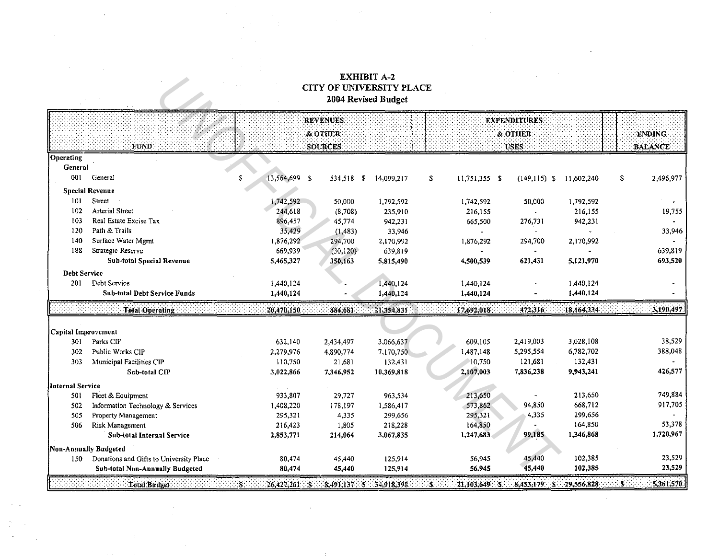## $\begin{array}{c} \textbf{EXHIBIT A-2}\\ \textbf{CITY OF UNIVERSITY PLACE} \end{array}$ 2004 Revised Budget

|                     |                                                          |                     | <b>REVENUES</b> |            |                     | <b>EXPENDITURES:</b> |            |                   |
|---------------------|----------------------------------------------------------|---------------------|-----------------|------------|---------------------|----------------------|------------|-------------------|
|                     |                                                          |                     | & OTHER         |            |                     | <b>&amp; OTHER</b>   |            | <b>ENDING</b>     |
|                     | <b>FUND</b>                                              |                     | <b>SOURCES</b>  |            |                     | <b>USES:</b>         |            | <b>BALANCE</b>    |
| Operating           |                                                          |                     |                 |            |                     |                      |            |                   |
| <b>General</b>      |                                                          |                     |                 |            |                     |                      |            |                   |
| 001                 | General                                                  | £.<br>13,564,699 \$ | 534,518 \$      | 14,099.217 | S.<br>11,751,355 \$ | $(149,115)$ \$       | 11,602,240 | - \$<br>2,496,977 |
|                     | <b>Special Revenue</b>                                   |                     |                 |            |                     |                      |            |                   |
| 101                 | Street                                                   | ,742,592            | 50,000          | 1,792,592  | 1,742,592           | 50,000               | 1,792,592  |                   |
| 102                 | <b>Arterial Street</b>                                   | 244,618             | (8,708)         | 235,910    | 216,155             |                      | 216,155    | 19,755            |
| 103                 | Real Estate Excise Tax                                   | 896,457             | 45,774          | 942,231    | 665,500             | 276,731              | 942,231    |                   |
| 120                 | Path & Trails                                            | 35,429              | (1, 483)        | 33,946     |                     |                      |            | 33,946            |
| 140                 | Surface Water Mgmt                                       | 1,876,292           | 294,700         | 2,170,992  | 1,876,292           | 294,700              | 2,170,992  |                   |
| 188                 | Strategic Reserve                                        | 669,939             | (30, 120)       | 639,819    |                     |                      |            | 639,819           |
|                     | <b>Sub-total Special Revenue</b>                         | 5,465,327           | 350,163         | 5,815,490  | 4,500,539           | 621,431              | 5,121,970  | 693,520           |
| <b>Debt Service</b> |                                                          |                     |                 |            |                     |                      |            |                   |
| 201                 | Debt Service                                             | 1,440,124           |                 | 1,440,124  | 1,440,124           |                      | 1,440,124  |                   |
|                     | Sub-total Debt Service Funds                             | 1,440,124           |                 | 1,440,124  | 1,440,124           |                      | 1,440,124  |                   |
|                     |                                                          |                     |                 |            |                     |                      |            |                   |
|                     | <b>Total Operating</b>                                   | 20,470,150          | 884,681         | 21,354,831 | 17,692,018          | 472,316              | 18,164,334 | 3,190,497         |
|                     |                                                          |                     |                 |            |                     |                      |            |                   |
| Capital Improvement |                                                          |                     |                 |            |                     |                      |            |                   |
| 301                 | Parks CIF                                                | 632,140             | 2,434,497       | 3,066,637  | 609,105             | 2,419,003            | 3,028,108  | 38,529            |
| 302                 | Public Works CIP                                         | 2,279,976           | 4,890,774       | 7,170,750  | 1,487,148           | 5,295,554            | 6,782,702  | 388,048           |
| 303                 | Municipal Facilities CIP                                 | 110,750             | 21,681          | 132,431    | 10,750              | 121,681              | 132,431    |                   |
|                     | Sub-total CIP                                            | 3,022,866           | 7,346,952       | 10,369,818 | 2,107,003           | 7,836,238            | 9,943,241  | 426,577           |
| Internal Service    |                                                          |                     |                 |            |                     |                      |            |                   |
| 501                 | Fleet & Equipment                                        | 933.807             | 29,727          | 963.534    | 213,650             |                      | 213,650    | 749,884           |
| 502                 |                                                          | 1,408,220           | 178,197         | 1,586,417  | 573,862             | 94,850               | 668,712    | 917,705           |
| 505                 | Information Technology & Services<br>Property Management | 295,321             | 4,335           | 299,656    | 295,321             | 4,335                | 299,656    |                   |
| 506                 | Risk Management                                          | 216,423             | 1,805           | 218,228    | 164,850             |                      | 164,850    | 53,378            |
|                     | Sub-total Internal Service                               | 2,853,771           | 214,064         | 3,067,835  | 1,247,683           | 99,185               | 1,346,868  | 1,720,967         |
|                     | Non-Annually Budgeted                                    |                     |                 |            |                     |                      |            |                   |
| 150                 | Donations and Gifts to University Place                  | 80,474              | 45,440          | 125,914    | 56,945              | 45,440               | 102,385    | 23,529            |
|                     | <b>Sub-total Non-Annually Budgeted</b>                   | 80,474              | 45,440          | 125,914    | 56,945              | 45,440               | 102,385    | 23,529            |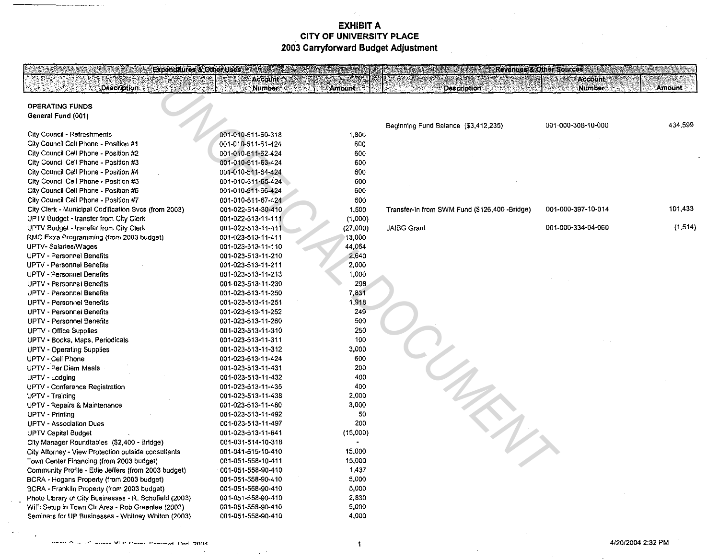| Expenditures & Other Uses and the Society of the Contract of the Contract of the Contract of the Contract of the Contract of the Contract of the Contract of the Contract of the Contract of the Contract of the Contract of t |                                  |                | <b>Excessive Communication of Sources And Advanced Property Communication</b> |                                           |               |
|--------------------------------------------------------------------------------------------------------------------------------------------------------------------------------------------------------------------------------|----------------------------------|----------------|-------------------------------------------------------------------------------|-------------------------------------------|---------------|
| <b>Description</b>                                                                                                                                                                                                             | <b>Account</b><br><b>Number:</b> | <b>Amount:</b> | <b>Description</b>                                                            | <b>Account Committee</b><br><b>Number</b> | <b>Amount</b> |
|                                                                                                                                                                                                                                |                                  |                |                                                                               |                                           |               |
| <b>OPERATING FUNDS</b>                                                                                                                                                                                                         |                                  |                |                                                                               |                                           |               |
| General Fund (001)                                                                                                                                                                                                             |                                  |                |                                                                               |                                           |               |
|                                                                                                                                                                                                                                |                                  |                | Beginning Fund Balance (\$3,412,235)                                          | 001-000-308-10-000                        | 434,599       |
| City Council - Refreshments                                                                                                                                                                                                    | 001-010-511-60-318               | 1,800          |                                                                               |                                           |               |
| City Council Cell Phone - Position #1                                                                                                                                                                                          | 001-010-511-61-424               | 600            |                                                                               |                                           |               |
| City Council Cell Phone - Position #2                                                                                                                                                                                          | 001-010-511-62-424               | 600            |                                                                               |                                           |               |
| City Council Cell Phone - Position #3                                                                                                                                                                                          | 001-010-511-63-424               | 600            |                                                                               |                                           |               |
| City Council Cell Phone - Position #4                                                                                                                                                                                          | 001-010-511-64-424               | 600            |                                                                               |                                           |               |
| City Council Cell Phone - Position #5                                                                                                                                                                                          | 001-010-511-65-424               | 600            |                                                                               |                                           |               |
| City Council Cell Phone - Position #6                                                                                                                                                                                          | 001-010-511-66-424               | 600            |                                                                               |                                           |               |
| City Council Cell Phone - Position #7                                                                                                                                                                                          | 001-010-511-67-424               | 600            |                                                                               |                                           |               |
| City Clerk - Municipal Codification Svcs (from 2003)                                                                                                                                                                           | 001-022-514-30-410               | 1,500          | Transfer-In from SWM Fund (\$126,400 -Bridge)                                 | 001-000-397-10-014                        | 101,433       |
| UPTV Budget - transfer from City Clerk                                                                                                                                                                                         | 001-022-513-11-111               | (1,000)        |                                                                               |                                           |               |
| UPTV Budget - transfer from City Clerk                                                                                                                                                                                         | 001-022-513-11-411               | (27,000)       | <b>JAIBG Grant</b>                                                            | 001-000-334-04-060                        | (1, 514)      |
| RMC Extra Programming (from 2003 budget)                                                                                                                                                                                       | 001-023-513-11-411               | 13,000         |                                                                               |                                           |               |
| UPTV-Salaries/Wages                                                                                                                                                                                                            | 001-023-513-11-110               | 44,064         |                                                                               |                                           |               |
| UPTV - Personnel Benefits                                                                                                                                                                                                      | 001-023-513-11-210               | 2,640          |                                                                               |                                           |               |
| UPTV - Personnel Benefits                                                                                                                                                                                                      | 001-023-513-11-211               | 2,000          |                                                                               |                                           |               |
| <b>UPTV - Personnel Benefits</b>                                                                                                                                                                                               | 001-023-513-11-213               | 1,000          |                                                                               |                                           |               |
| UPTV - Personnel Benefits                                                                                                                                                                                                      | 001-023-513-11-230               | 298            |                                                                               |                                           |               |
| UPTV - Personnel Benefits                                                                                                                                                                                                      | 001-023-513-11-250               | 7,831          |                                                                               |                                           |               |
| UPTV - Personnel Benefits                                                                                                                                                                                                      | 001-023-513-11-251               | 1,918          |                                                                               |                                           |               |
| UPTV - Personnel Benefits                                                                                                                                                                                                      | 001-023-513-11-252               | 249            |                                                                               |                                           |               |
| UPTV - Personnel Benefits                                                                                                                                                                                                      | 001-023-513-11-260               | 500            |                                                                               |                                           |               |
| UPTV - Office Supplies                                                                                                                                                                                                         | 001-023-513-11-310               | 250            |                                                                               |                                           |               |
| UPTV - Books, Maps, Periodicals                                                                                                                                                                                                | 001-023-513-11-311               | 100            |                                                                               |                                           |               |
| UPTV - Operating Supplies                                                                                                                                                                                                      | 001-023-513-11-312               | 3,000          |                                                                               |                                           |               |
| UPTV - Cell Phone                                                                                                                                                                                                              | 001-023-513-11-424               | 600            |                                                                               |                                           |               |
| UPTV - Per Diem Meals                                                                                                                                                                                                          | 001-023-513-11-431               | 200            |                                                                               |                                           |               |
| UPTV - Lodging                                                                                                                                                                                                                 | 001-023-513-11-432               | 400            |                                                                               |                                           |               |
| UPTV - Conference Registration                                                                                                                                                                                                 | 001-023-513-11-435               | 400            |                                                                               |                                           |               |
| UPTV - Training                                                                                                                                                                                                                | 001-023-513-11-438               | 2,000          |                                                                               |                                           |               |
| UPTV - Repairs & Maintenance                                                                                                                                                                                                   | 001-023-513-11-480               | 3,000          |                                                                               |                                           |               |
| UPTV - Printing                                                                                                                                                                                                                | 001-023-513-11-492               | 50             |                                                                               |                                           |               |
| UPTV - Association Dues                                                                                                                                                                                                        | 001-023-513-11-497               | 200            |                                                                               |                                           |               |
| <b>UPTV Capital Budget</b>                                                                                                                                                                                                     | 001-023-513-11-641               | (15,000)       |                                                                               |                                           |               |
| City Manager Roundtables (\$2,400 - Bridge)                                                                                                                                                                                    | 001-031-514-10-318               |                |                                                                               |                                           |               |
| City Attorney - View Protection outside consultants                                                                                                                                                                            | 001-041-515-10-410               | 15,000         |                                                                               |                                           |               |
| Town Center Financing (from 2003 budget)                                                                                                                                                                                       | 001-051-558-10-411               | 15,000         |                                                                               |                                           |               |
| Community Profile - Edie Jeffers (from 2003 budget)                                                                                                                                                                            | 001-051-558-90-410               | 1,437          |                                                                               |                                           |               |
| BCRA - Hogans Property (from 2003 budget)                                                                                                                                                                                      | 001-051-558-90-410               | 5,000          |                                                                               |                                           |               |
| BCRA - Franklin Property (from 2003 budget)                                                                                                                                                                                    | 001-051-558-90-410               | 5,000          |                                                                               |                                           |               |
| Photo Library of City Businesses - R. Schofield (2003)                                                                                                                                                                         | 001-051-558-90-410               | 2,830          |                                                                               |                                           |               |
| WiFi Setup in Town Ctr Area - Rob Greenlee (2003)                                                                                                                                                                              | 001-051-558-90-410               | 5,000          |                                                                               |                                           |               |
| Seminars for UP Businesses - Whitney Whiton (2003)                                                                                                                                                                             | 001-051-558-90-410               | 4,000          |                                                                               |                                           |               |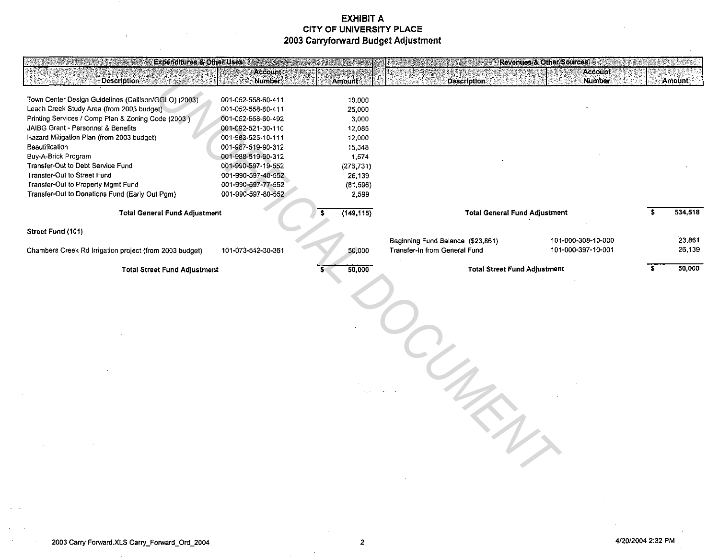| SA KABUPATÈN SEMBELANG KALENDARYA<br>KOLANDIA UNITERSAL PERANJANG | Expenditures & Other Uses and conservations |                      | <b>SERVER CONTRACTOR</b>             | Revenues & Other Sources |               |
|-------------------------------------------------------------------|---------------------------------------------|----------------------|--------------------------------------|--------------------------|---------------|
| <b>Description</b>                                                | Account *<br><b>Number</b>                  | Amount               | <b>Description</b>                   | Account<br><b>Number</b> | <b>Amount</b> |
|                                                                   |                                             |                      |                                      |                          |               |
| Town Center Design Guidelines (Callison/GGLO) (2003)              | 001-052-558-60-411                          | 10,000               |                                      |                          |               |
| Leach Creek Study Area (from 2003 budget)                         | 001-052-558-60-411                          | 25,000               |                                      |                          |               |
| Printing Services / Comp Plan & Zoning Code (2003)                | 001-052-558-60-492                          | 3.000                |                                      |                          |               |
| JAIBG Grant - Personnel & Benefits                                | 001-092-521-30-110                          | 12 0 8 5             |                                      |                          |               |
| Hazard Mitigation Plan (from 2003 budget)                         | 001-983-525-10-111                          | 12.000               |                                      |                          |               |
| Beautification                                                    | 001-987-519-90-312                          | 15 348               |                                      |                          |               |
| Buy-A-Brick Program<br>Transfer-Out to Debt Service Fund          | 001-988-519-90-312<br>001-990-597-19-552    | 1 574                |                                      |                          |               |
| Transfer-Out to Street Fund                                       | 001-990-597-40-552                          | (276, 731)<br>26,139 |                                      |                          |               |
| Transfer-Out to Property Mgmt Fund                                | 001-990-597-77-552                          | (81,596)             |                                      |                          |               |
| Transfer-Out to Donations Fund (Early Out Pgm)                    | 001-990-597-80-552                          | 2,599                |                                      |                          |               |
|                                                                   |                                             |                      |                                      |                          |               |
| <b>Total General Fund Adjustment</b>                              |                                             | (149, 115)<br>s.     | <b>Total General Fund Adjustment</b> |                          | 534,518       |
| Street Fund (101)                                                 |                                             |                      |                                      |                          |               |
|                                                                   |                                             |                      | Beginning Fund Balance (\$23,861)    | 101-000-308-10-000       | 23,861        |
| Chambers Creek Rd Irrigation project (from 2003 budget)           | 101-073-542-30-361                          | 50,000               | Transfer-In from General Fund        | 101-000-397-10-001       | 26,139        |
|                                                                   |                                             |                      |                                      |                          |               |
| <b>Total Street Fund Adjustment</b>                               |                                             | 50,000               | <b>Total Street Fund Adjustment</b>  |                          | 50,000        |
|                                                                   |                                             |                      |                                      |                          |               |
|                                                                   |                                             |                      |                                      |                          |               |
|                                                                   |                                             |                      |                                      |                          |               |
|                                                                   |                                             |                      |                                      |                          |               |
|                                                                   |                                             |                      |                                      |                          |               |
|                                                                   |                                             |                      |                                      |                          |               |
|                                                                   |                                             |                      |                                      |                          |               |
|                                                                   |                                             |                      |                                      |                          |               |
|                                                                   |                                             |                      |                                      |                          |               |
|                                                                   |                                             |                      |                                      |                          |               |
|                                                                   |                                             |                      |                                      |                          |               |
|                                                                   |                                             |                      |                                      |                          |               |
|                                                                   |                                             |                      |                                      |                          |               |
|                                                                   |                                             |                      |                                      |                          |               |
|                                                                   |                                             |                      |                                      |                          |               |
|                                                                   |                                             |                      |                                      |                          |               |
|                                                                   |                                             |                      |                                      |                          |               |
|                                                                   |                                             |                      |                                      |                          |               |
|                                                                   |                                             |                      |                                      |                          |               |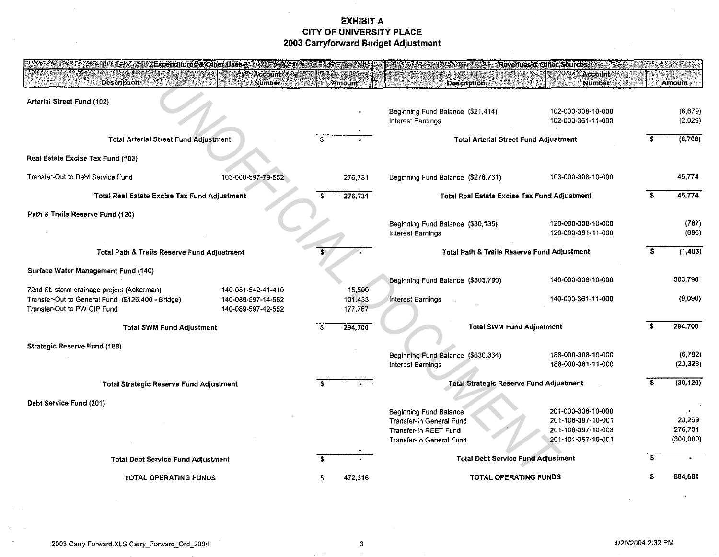|                                                                                                                                | Expenditures & Other Uses                                      |                              |                                                                                                         | <b>A Security Revenues &amp; Other Sources And A Security Revenues &amp; Other Sources</b> |                                 |
|--------------------------------------------------------------------------------------------------------------------------------|----------------------------------------------------------------|------------------------------|---------------------------------------------------------------------------------------------------------|--------------------------------------------------------------------------------------------|---------------------------------|
| <b>Description</b>                                                                                                             | <b>Account</b><br>Number                                       | <b>Amount</b>                | <b>Description</b>                                                                                      | <b>Account</b><br><b>Number</b>                                                            | Amount                          |
| Arterial Street Fund (102)                                                                                                     |                                                                |                              | Beginning Fund Balance (\$21,414)<br>Interest Earnings                                                  | 102-000-308-10-000<br>102-000-361-11-000                                                   | (6,679)<br>(2.029)              |
| <b>Total Arterial Street Fund Adjustment</b>                                                                                   |                                                                |                              |                                                                                                         | <b>Total Arterial Street Fund Adjustment</b>                                               | (8,708)                         |
| Real Estate Excise Tax Fund (103)                                                                                              |                                                                |                              |                                                                                                         |                                                                                            |                                 |
| Transfer-Out to Debt Service Fund                                                                                              | 103-000-597-79-552                                             | 276,731                      | Beginning Fund Balance (\$276,731)                                                                      | 103-000-308-10-000                                                                         | 45.774                          |
| Total Real Estate Excise Tax Fund Adjustment                                                                                   |                                                                | s<br>276,731                 |                                                                                                         | Total Real Estate Excise Tax Fund Adjustment                                               | 45,774                          |
| Path & Trails Reserve Fund (120)                                                                                               |                                                                |                              | Beginning Fund Balance (\$30,135)<br>Interest Earnings                                                  | 120-000-308-10-000<br>120-000-361-11-000                                                   | (787)<br>(696)                  |
| Total Path & Trails Reserve Fund Adjustment                                                                                    |                                                                | s.                           |                                                                                                         | Total Path & Trails Reserve Fund Adjustment                                                | (1, 483)                        |
| Surface Water Management Fund (140)                                                                                            |                                                                |                              | Beginning Fund Balance (\$303,790)                                                                      | 140-000-308-10-000                                                                         | 303,790                         |
| 72nd St. storm drainage project (Ackerman)<br>Transfer-Out to General Fund (\$126,400 - Bridge)<br>Transfer-Out to PW CIP Fund | 140-081-542-41-410<br>140-089-597-14-552<br>140-089-597-42-552 | 15,500<br>101,433<br>177,767 | <b>Interest Earnings</b>                                                                                | 140-000-361-11-000                                                                         | (9,090)                         |
| <b>Total SWM Fund Adjustment</b>                                                                                               |                                                                | 294,700                      |                                                                                                         | <b>Total SWM Fund Adjustment</b>                                                           | 294.700                         |
| <b>Strategic Reserve Fund (188)</b>                                                                                            |                                                                |                              | Beginning Fund Balance (\$630,364)                                                                      | 188-000-308-10-000                                                                         | (6.792)                         |
|                                                                                                                                |                                                                |                              | Interest Earnings                                                                                       | 188-000-361-11-000                                                                         | (23.328)                        |
| <b>Total Strategic Reserve Fund Adjustment</b>                                                                                 |                                                                |                              |                                                                                                         | Total Strategic Reserve Fund Adjustment                                                    | (30, 120)                       |
| Debt Service Fund (201)                                                                                                        |                                                                |                              | Beginning Fund Balance<br>Transfer-In General Fund<br>Transfer-In REET Fund<br>Transfer-In General Fund | 201-000-308-10-000<br>201-106-397-10-001<br>201-106-397-10-003<br>201-101-397-10-001       | 23.269<br>276 731<br>(300, 000) |
| <b>Total Debt Service Fund Adjustment</b>                                                                                      |                                                                |                              |                                                                                                         | <b>Total Debt Service Fund Adjustment</b>                                                  |                                 |
| TOTAL OPERATING FUNDS                                                                                                          |                                                                | 472.316                      |                                                                                                         | <b>TOTAL OPERATING FUNDS</b>                                                               | 884,681                         |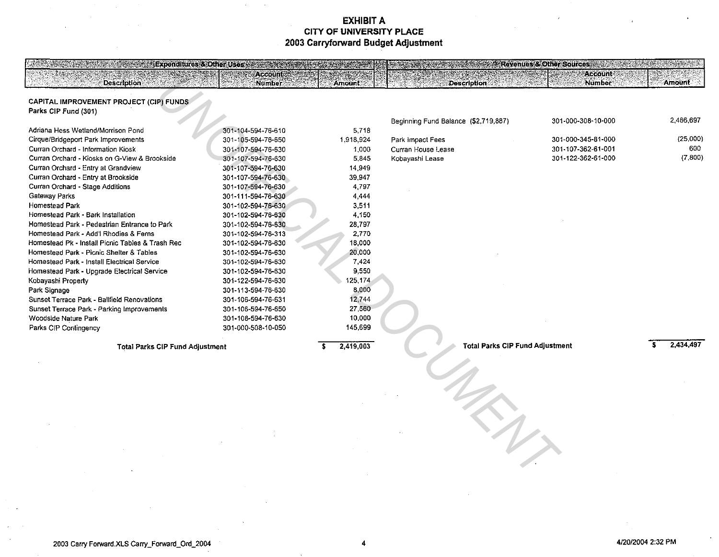| EVIGHUIMI 62.01. ANG 1762.<br><b>Description</b> | Account<br><b>Number</b>                 | Amount             | <b>Description</b>                     | rcy cheestory hitser sou<br>12. M<br><b>Account</b><br><b>Number</b> | Amount    |
|--------------------------------------------------|------------------------------------------|--------------------|----------------------------------------|----------------------------------------------------------------------|-----------|
| CAPITAL IMPROVEMENT PROJECT (CIP) FUNDS          |                                          |                    |                                        |                                                                      |           |
| Parks CIP Fund (301)                             |                                          |                    |                                        |                                                                      |           |
| Adriana Hess Wetland/Morrison Pond               |                                          |                    | Beginning Fund Balance (\$2,719,887)   | 301-000-308-10-000                                                   | 2,466,697 |
| Cirque/Bridgeport Park Improvements              | 301-104-594-76-610<br>301-105-594-76-650 | 5,718<br>1,918,924 | Park Impact Fees                       | 301-000-345-81-000                                                   | (25,000)  |
| Curran Orchard - Information Kiosk               | 301-107-594-76-630                       | 1,000              | Curran House Lease                     | 301-107-362-61-001                                                   | 600       |
| Curran Orchard - Kiosks on G-View & Brookside    | 301-107-594-76-630                       | 5,845              | Kobayashi Lease                        | 301-122-362-61-000                                                   | (7,800)   |
| Curran Orchard - Entry at Grandview              | 301-107-594-76-630                       | 14.949             |                                        |                                                                      |           |
| Curran Orchard - Entry at Brookside              | 301-107-594-76-630                       | 39,947             |                                        |                                                                      |           |
| Curran Orchard - Stage Additions                 | 301-107-594-76-630                       | 4,797              |                                        |                                                                      |           |
| Gateway Parks                                    | 301-111-594-76-630                       | 4,444              |                                        |                                                                      |           |
| Homestead Park                                   | 301-102-594-76-630                       | 3.511              |                                        |                                                                      |           |
| Homestead Park - Bark Installation               | 301-102-594-76-630                       | 4,150              |                                        |                                                                      |           |
| Homestead Park - Pedestrian Entrance to Park     | 301-102-594-76-630                       | 28,797             |                                        |                                                                      |           |
| Homestead Park - Add'l Rhodies & Ferns           | 301-102-594-76-313                       | 2,770              |                                        |                                                                      |           |
| Homestead Pk - Install Picnic Tables & Trash Rec | 301-102-594-76-630                       | 18,000             |                                        |                                                                      |           |
| Homestead Park - Picnic Shelter & Tables         | 301-102-594-76-630                       | 20,000             |                                        |                                                                      |           |
| Homestead Park - Install Electrical Service      | 301-102-594-76-630                       | 7,424              |                                        |                                                                      |           |
| Homestead Park - Upgrade Electrical Service      | 301-102-594-76-630                       | 9,550              |                                        |                                                                      |           |
| Kobayashi Property                               | 301-122-594-76-630                       | 125,174            |                                        |                                                                      |           |
| Park Signage                                     | 301-113-594-76-630                       | 8,000              |                                        |                                                                      |           |
| Sunset Terrace Park - Ballfield Renovations      | 301-106-594-76-631                       | 12,744             |                                        |                                                                      |           |
| Sunset Terrace Park - Parking Improvements       | 301-106-594-76-650                       | 27,560             |                                        |                                                                      |           |
| Woodside Nature Park                             | 301-108-594-76-630                       | 10,000             |                                        |                                                                      |           |
| Parks CIP Contingency                            | 301-000-508-10-050                       | 145,699            |                                        |                                                                      |           |
|                                                  |                                          | 2,419,003          | <b>Total Parks CIP Fund Adjustment</b> |                                                                      | 2,434,497 |
| <b>Total Parks CIP Fund Adjustment</b>           |                                          |                    |                                        |                                                                      |           |
|                                                  |                                          |                    |                                        |                                                                      |           |
|                                                  |                                          |                    |                                        |                                                                      |           |
|                                                  |                                          |                    |                                        |                                                                      |           |
|                                                  |                                          |                    |                                        |                                                                      |           |
|                                                  |                                          |                    |                                        |                                                                      |           |
|                                                  |                                          |                    |                                        |                                                                      |           |
|                                                  |                                          |                    |                                        |                                                                      |           |
|                                                  |                                          |                    |                                        |                                                                      |           |
|                                                  |                                          |                    |                                        |                                                                      |           |
|                                                  |                                          |                    |                                        |                                                                      |           |
|                                                  |                                          |                    |                                        |                                                                      |           |
|                                                  |                                          |                    |                                        |                                                                      |           |
|                                                  |                                          |                    |                                        |                                                                      |           |

**CHOROUS MISSIONS IN**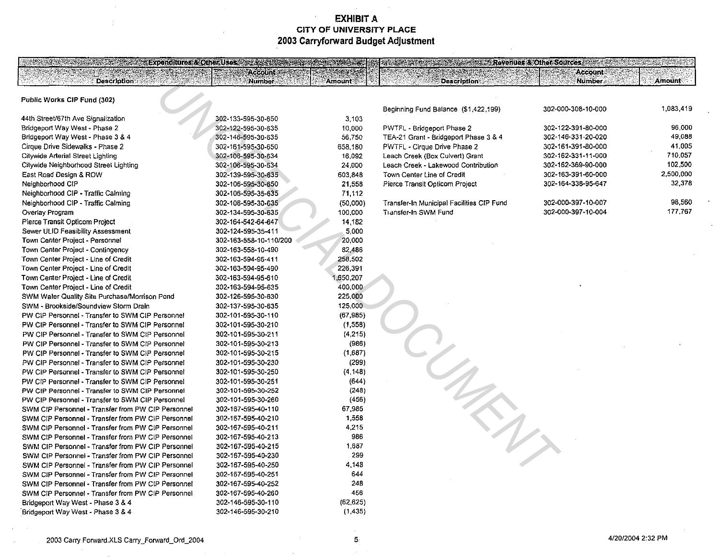**BARBARA DE DE SA** 

5

#### Public Works CIP Fund (302)

**Description** 

44th Street/67th Ave Signalization Bridgeport Way West - Phase 2 Bridgeport Way West - Phase 3 & 4 Cirque Drive Sidewalks - Phase 2 Citywide Arterial Street Lighting Citywide Neighborhood Street Lighting East Road Design & ROW Neighborhood CIP Neighborhood GIP - Traffic Calming Neighborhood GIP - Traffic Calming Overlay Program Pierce Transit Opticom Project Sewer ULID Feasibility Assessment Town Center Project - Personnel Town Center Project - Contingency Town Center Project - Line of Credit Town Center Project - Line of Credit Town Center Project - Une of Credit Town Center Project - Line of Credit SWM Water Quality Site Purchase/Morrison Pond SWM - Brookside/Soundview Storm Drain PW CIP Personnel - Transfer to SWM ClP Personnel PW GIP Personnel - Transfer to SWM GIP Personnel PW ClP Personnel - Transfer to SWM GIP Personnel PW CIP Personnel - Transfer to SWM CIP Personnel PW GIP Personnel - Transfer to SWM CIP Personnel PW GIP Personnel - Transfer to SWM GIP Personnel PW CIP Personnel - Transfer to SWM CIP Personnel PW CIP Personnel - Transfer to SWM CIP Personnel PW CIP Personnel - Transfer to SWM CIP Personnel PW CIP Personnel - Transfer to SWM CIP Personnel SWM CIP Personnel - Transfer from PW CIP Personnel SWM CIP Personnel - Transfer from PW CIP Personnel SWM CIP Personnel - Transfer from PW ClP Personnel SWM CIP Personnel - Transfer from PW CIP Personnel SWM GIP Personnel - Transfer from PW CJP Personnel SWM CIP Personnel - Transfer from PW CIP Personnel SWM CIP Personnel - Transfer from PW CIP Personnel SWM CIP Personnel - Transfer from PW CIP Personnel SWM CIP Personnel - Transfer from PW CIP Personnel SWM CIP Personnel· Transfer from PW CIP Personnel Bridgeport Way West - Phase 3 & 4 ·Bridgeport Way VVest- Phase 3 & 4

|                        | <b>Number</b>          | Amount    | <b>Description</b>                        |           |
|------------------------|------------------------|-----------|-------------------------------------------|-----------|
|                        |                        |           |                                           |           |
|                        |                        |           | Beginning Fund Balance (\$1,422,199)      | 302-0     |
|                        | 302-133-595-30-650     | 3,103     |                                           |           |
|                        | 302-122-595-30-635     | 10,000    | PWTFL - Bridgeport Phase 2                | $302 - 1$ |
|                        | 302-146-595-30-635     | 56,750    | TEA-21 Grant - Bridgeport Phase 3 & 4     | $302 - 1$ |
|                        | 302-161-595-30-650     | 658,180   | PWTFL - Cirque Drive Phase 2              | 302-1     |
|                        | 302-106-595-30-634     | 16,092    | Leach Creek (Box Culvert) Grant           | 302-1     |
|                        | 302-106-595-30-634     | 24,000    | Leach Creek - Lakewood Contribution       | 302-1     |
|                        | 302-139-595-30-635     | 603,848   | Town Center Line of Credit                | $302 - 1$ |
|                        | 302-106-595-30-650     | 21,558    | Pierce Transit Opticom Project            | $302 - 1$ |
|                        | 302-106-595-35-635     | 71,112    |                                           |           |
|                        | 302-106-595-30-635     | (50,000)  | Transfer-In Municipal Facilities CIP Fund | 302-0     |
|                        | 302-134-595-30-635     | 100,000   | Transfer-In SWM Fund                      | 302-0     |
|                        | 302-164-542-64-647     | 14,182    |                                           |           |
|                        | 302-124-595-35-411     | 5,000     |                                           |           |
|                        | 302-163-558-10-110/200 | 20,000    |                                           |           |
|                        | 302-163-558-10-490     | 82,486    |                                           |           |
|                        | 302-163-594-95-411     | 258,502   |                                           |           |
|                        | 302-163-594-95-490     | 226,391   |                                           |           |
|                        | 302-163-594-95-610     | ,650,207  |                                           |           |
|                        | 302-163-594-95-635     | 400,000   |                                           |           |
| Pond                   | 302-126-595-30-630     | 225,000   |                                           |           |
|                        | 302-137-595-30-635     | 125,000   |                                           |           |
| ersonnel               | 302-101-595-30-110     | (67, 985) |                                           |           |
| ersonnel               | 302-101-595-30-210     | (1,558)   |                                           |           |
| ersonnel               | 302-101-595-30-211     | (4, 215)  |                                           |           |
| ersonnel               | 302-101-595-30-213     | (986)     |                                           |           |
| ersonnel               | 302-101-595-30-215     | (1,687)   |                                           |           |
| ersonnel               | 302-101-595-30-230     | (299)     |                                           |           |
| ersonnel               | 302-101-595-30-250     | (4, 148)  |                                           |           |
| ersonnel               | 302-101-595-30-251     | (644)     |                                           |           |
| ersonnel               | 302-101-595-30-252     | (248)     |                                           |           |
| ersonnel               | 302-101-595-30-260     | (456)     |                                           |           |
| Personnel              | 302-167-595-40-110     | 67,985    |                                           |           |
| Personnel              | 302-167-595-40-210     | 1,558     |                                           |           |
| Personnel              | 302-167-595-40-211     | 4,215     |                                           |           |
| Personnel              | 302-167-595-40-213     | 986       |                                           |           |
| <sup>o</sup> Personnel | 302-167-595-40-215     | 1,687     |                                           |           |
| P Personnel            | 302-167-595-40-230     | 299       |                                           |           |
| P Personnel            | 302-167-595-40-250     | 4,148     |                                           |           |
| Personnel              | 302-167-595-40-251     | 644       |                                           |           |
| Personnel              | 302-167-595-40-252     | 248       |                                           |           |
| Personnel              | 302-167-595-40-260     | 456       |                                           |           |
|                        | 302-146-595-30-110     | (62, 625) |                                           |           |
|                        | 302-146-595-30-210     | (1, 435)  |                                           |           |

**The Second Constitution of the Constitution of Constitution of the Constitution of the Constitution of the Constitution of the Constitution of the Constitution of the Constitution of the Constitution of the Constitution o** 

| Beginning Fund Balance (\$1,422,199)      | 302-000-308-10-000 | 1,083.419 |
|-------------------------------------------|--------------------|-----------|
| PWTFL - Bridgeport Phase 2                | 302-122-391-80-000 | 96.000    |
| TEA-21 Grant - Bridgeport Phase 3 & 4     | 302-146-331-20-020 | 49.088    |
| PWTFL - Cirque Drive Phase 2              | 302-161-391-80-000 | 41.005    |
| Leach Creek (Box Culvert) Grant           | 302-162-331-11-000 | 710.057   |
| Leach Creek - Lakewood Contribution       | 302-162-369-90-000 | 102.500   |
| Town Center Line of Credit                | 302-163-391-60-000 | 2,500,000 |
| Pierce Transit Opticom Project            | 302-164-338-95-647 | 32.378    |
| Transfer-In Municipal Facilities CIP Fund | 302-000-397-10-007 | 98,560    |
| Transfer-In SWM Fund                      | 302-000-397-10-004 | 177.767   |

**Account** 

**Number** 

Amount

**Executive Revenues A Other Sources** 2004 2006 2007 12:30 PM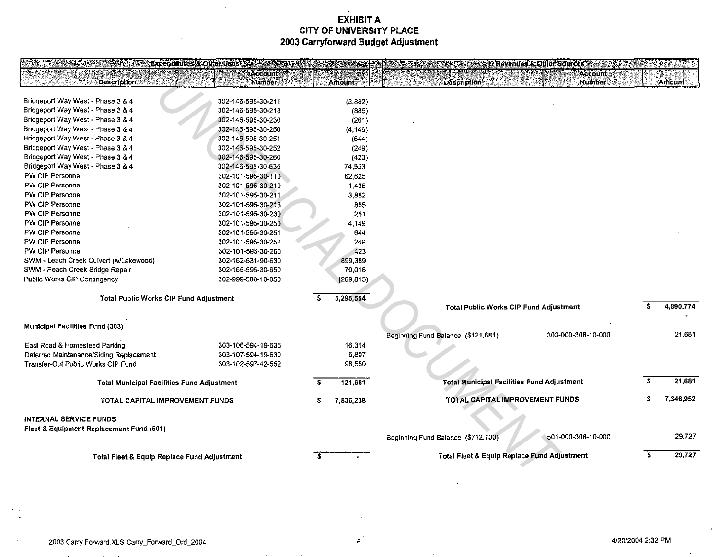| <b>Expenditures &amp; Other Uses of the Contract of the Contract of the Contract of the Contract of the Contract of the Contract of the Contract of the Contract of the Contract of the Contract of the Contract of the Contract of </b> |                                          |    |                   | <b>Example 2 Revenues &amp; Other Sources Advised Formation Contracts</b> |               |
|------------------------------------------------------------------------------------------------------------------------------------------------------------------------------------------------------------------------------------------|------------------------------------------|----|-------------------|---------------------------------------------------------------------------|---------------|
|                                                                                                                                                                                                                                          | Account                                  |    |                   | <b>Account</b>                                                            |               |
| <b>Description</b>                                                                                                                                                                                                                       | <b>Number</b>                            |    | Amount:           | <b>Number</b><br><b>Description</b>                                       | <b>Amount</b> |
| Bridgeport Way West - Phase 3 & 4                                                                                                                                                                                                        |                                          |    |                   |                                                                           |               |
| Bridgeport Way West - Phase 3 & 4                                                                                                                                                                                                        | 302-146-595-30-211<br>302-146-595-30-213 |    | (3,882)           |                                                                           |               |
| Bridgeport Way West - Phase 3 & 4                                                                                                                                                                                                        | 302-146-595-30-230                       |    | (885)             |                                                                           |               |
| Bridgeport Way West - Phase 3 & 4                                                                                                                                                                                                        | 302-146-595-30-250                       |    | (261)<br>(4, 149) |                                                                           |               |
| Bridgeport Way West - Phase 3 & 4                                                                                                                                                                                                        | 302-146-595-30-251                       |    | (644)             |                                                                           |               |
| Bridgeport Way West - Phase 3 & 4                                                                                                                                                                                                        | 302-146-595-30-252                       |    | (249)             |                                                                           |               |
| Bridgeport Way West - Phase 3 & 4                                                                                                                                                                                                        | 302-146-595-30-260                       |    | (423)             |                                                                           |               |
| Bridgeport Way West - Phase 3 & 4                                                                                                                                                                                                        | 302-146-595-30-635                       |    | 74.553            |                                                                           |               |
| PW CIP Personnel                                                                                                                                                                                                                         | 302-101-595-30-110                       |    | 62,625            |                                                                           |               |
| PW CIP Personnel                                                                                                                                                                                                                         | 302-101-595-30-210                       |    | 1,435             |                                                                           |               |
| PW CIP Personnel                                                                                                                                                                                                                         | 302-101-595-30-211                       |    | 3,882             |                                                                           |               |
| PW CIP Personnel                                                                                                                                                                                                                         | 302-101-595-30-213                       |    | 885               |                                                                           |               |
| PW CIP Personnel                                                                                                                                                                                                                         | 302-101-595-30-230                       |    | 261               |                                                                           |               |
| PW CIP Personnel                                                                                                                                                                                                                         | 302-101-595-30-250                       |    | 4.149             |                                                                           |               |
| PW CIP Personnel                                                                                                                                                                                                                         | 302-101-595-30-251                       |    | 644               |                                                                           |               |
| PW CIP Personnel                                                                                                                                                                                                                         | 302-101-595-30-252                       |    | 249               |                                                                           |               |
| PW CIP Personnel                                                                                                                                                                                                                         | 302-101-595-30-260                       |    | 423               |                                                                           |               |
| SWM - Leach Creek Culvert (w/Lakewood)                                                                                                                                                                                                   | 302-162-531-90-630                       |    | 899,389           |                                                                           |               |
| SWM - Peach Creek Bridge Repair                                                                                                                                                                                                          | 302-165-595-30-650                       |    | 70,016            |                                                                           |               |
| Public Works CIP Contingency                                                                                                                                                                                                             | 302-999-508-10-050                       |    | (269, 815)        |                                                                           |               |
|                                                                                                                                                                                                                                          |                                          |    |                   |                                                                           |               |
| Total Public Works CIP Fund Adjustment                                                                                                                                                                                                   |                                          | £. | 5,295,554         |                                                                           |               |
|                                                                                                                                                                                                                                          |                                          |    |                   | Total Public Works CIP Fund Adjustment                                    | 4,890,774     |
|                                                                                                                                                                                                                                          |                                          |    |                   |                                                                           |               |
| <b>Municipal Facilities Fund (303)</b>                                                                                                                                                                                                   |                                          |    |                   |                                                                           |               |
|                                                                                                                                                                                                                                          |                                          |    |                   | Beginning Fund Balance (\$121,681)<br>303-000-308-10-000                  | 21,681        |
| East Road & Homestead Parking                                                                                                                                                                                                            | 303-106-594-19-635                       |    | 16.314            |                                                                           |               |
| Deferred Maintenance/Siding Replacement                                                                                                                                                                                                  | 303-107-594-19-630                       |    | 6,807             |                                                                           |               |
| Transfer-Out Public Works CIP Fund                                                                                                                                                                                                       | 303-102-597-42-552                       |    | 98,560            |                                                                           |               |
|                                                                                                                                                                                                                                          |                                          |    |                   |                                                                           |               |
| <b>Total Municipal Facilities Fund Adjustment</b>                                                                                                                                                                                        |                                          |    | 121,681           | <b>Total Municipal Facilities Fund Adjustment</b>                         | 21,681        |
| TOTAL CAPITAL IMPROVEMENT FUNDS                                                                                                                                                                                                          |                                          | s  | 7,836,238         | TOTAL CAPITAL IMPROVEMENT FUNDS                                           | 7,346,952     |
|                                                                                                                                                                                                                                          |                                          |    |                   |                                                                           |               |
| <b>INTERNAL SERVICE FUNDS</b>                                                                                                                                                                                                            |                                          |    |                   |                                                                           |               |
| Fleet & Equipment Replacement Fund (501)                                                                                                                                                                                                 |                                          |    |                   |                                                                           |               |
|                                                                                                                                                                                                                                          |                                          |    |                   | 501-000-308-10-000<br>Beginning Fund Balance (\$712,733)                  | 29,727        |
| <b>Total Fleet &amp; Equip Replace Fund Adjustment</b>                                                                                                                                                                                   |                                          |    |                   | Total Fleet & Equip Replace Fund Adjustment                               | 29,727        |
|                                                                                                                                                                                                                                          |                                          |    |                   |                                                                           |               |
|                                                                                                                                                                                                                                          |                                          |    |                   |                                                                           |               |

 $\sim$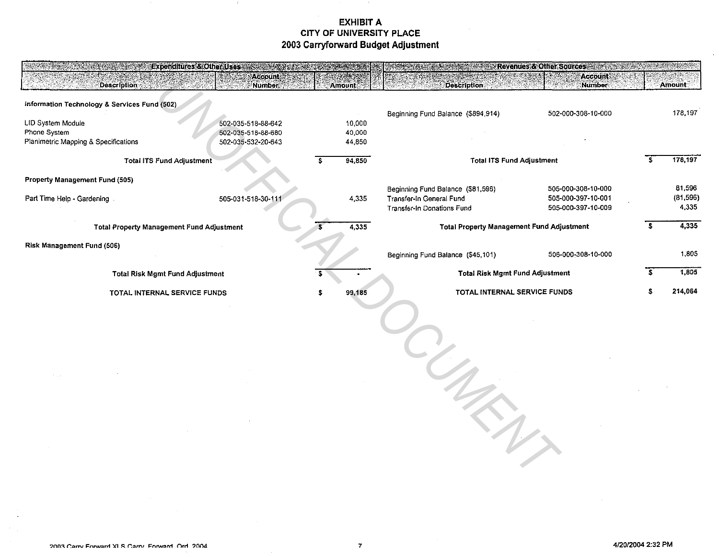| Expenditures & Other Uses<br>Description ::                               | <b>Accounts</b><br><b>Number</b>                               | Amount                     | <b>Description</b>                                                                          | <b>EXAMPLE Revenues &amp; Other Sources And Advisory Revenues</b><br><b>Account</b><br>Number |  | <b>Amount</b>               |
|---------------------------------------------------------------------------|----------------------------------------------------------------|----------------------------|---------------------------------------------------------------------------------------------|-----------------------------------------------------------------------------------------------|--|-----------------------------|
| Information Technology & Services Fund (502)                              |                                                                |                            |                                                                                             |                                                                                               |  |                             |
| LID System Module<br>Phone System<br>Planimetric Mapping & Specifications | 502-035-518-88-642<br>502-035-518-88-680<br>502-035-532-20-643 | 10,000<br>40,000<br>44,850 | Beginning Fund Balance (\$894,914)                                                          | 502-000-308-10-000                                                                            |  | 178,197                     |
| <b>Total ITS Fund Adjustment</b>                                          |                                                                | 94,850                     | <b>Total ITS Fund Adjustment</b>                                                            |                                                                                               |  | 178,197                     |
| Property Management Fund (505)                                            |                                                                |                            |                                                                                             |                                                                                               |  |                             |
| Part Time Help - Gardening                                                | 505-031-518-30-111                                             | 4,335                      | Beginning Fund Balance (\$81,596)<br>Transfer-In General Fund<br>Transfer-In Donations Fund | 505-000-308-10-000<br>505-000-397-10-001<br>505-000-397-10-009                                |  | 81,596<br>(81,596)<br>4,335 |
| <b>Total Property Management Fund Adjustment</b>                          |                                                                | 4,335                      | <b>Total Property Management Fund Adjustment</b>                                            |                                                                                               |  | 4,335                       |
| Risk Management Fund (506)                                                |                                                                |                            | Beginning Fund Balance (\$45,101)                                                           | 506-000-308-10-000                                                                            |  | 1.805                       |
| <b>Total Risk Mgmt Fund Adjustment</b>                                    |                                                                |                            | <b>Total Risk Mgmt Fund Adjustment</b>                                                      |                                                                                               |  | 1,805                       |
| TOTAL INTERNAL SERVICE FUNDS                                              |                                                                | 99,185                     | TOTAL INTERNAL SERVICE FUNDS                                                                |                                                                                               |  | 214,064                     |
|                                                                           |                                                                |                            |                                                                                             |                                                                                               |  |                             |